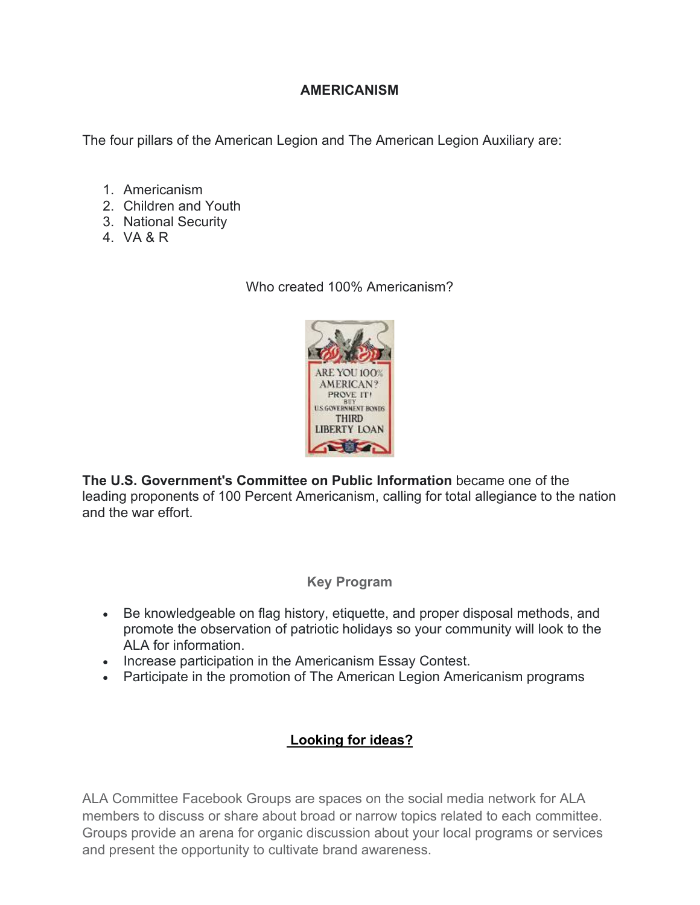## **AMERICANISM**

The four pillars of the American Legion and The American Legion Auxiliary are:

- 1. Americanism
- 2. Children and Youth
- 3. National Security
- 4. VA & R

Who created 100% Americanism?



**The U.S. Government's Committee on Public Information** became one of the leading proponents of 100 Percent Americanism, calling for total allegiance to the nation and the war effort.

#### **Key Program**

- Be knowledgeable on flag history, etiquette, and proper disposal methods, and promote the observation of patriotic holidays so your community will look to the ALA for information.
- Increase participation in the Americanism Essay Contest.
- Participate in the promotion of The American Legion Americanism programs

# **[Looking for ideas?](https://www.facebook.com/groups/818779828161560)**

ALA Committee Facebook Groups are spaces on the social media network for ALA members to discuss or share about broad or narrow topics related to each committee. Groups provide an arena for organic discussion about your local programs or services and present the opportunity to cultivate brand awareness.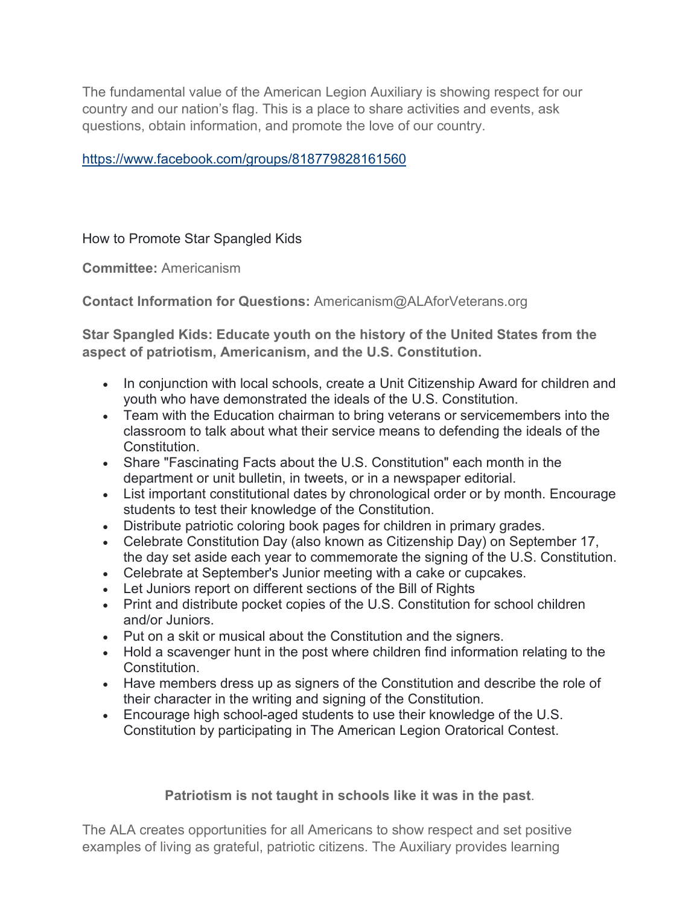The fundamental value of the American Legion Auxiliary is showing respect for our country and our nation's flag. This is a place to share activities and events, ask questions, obtain information, and promote the love of our country.

## <https://www.facebook.com/groups/818779828161560>

How to Promote Star Spangled Kids

**Committee:** Americanism

**Contact Information for Questions:** Americanism@ALAforVeterans.org

**Star Spangled Kids: Educate youth on the history of the United States from the aspect of patriotism, Americanism, and the U.S. Constitution.**

- In conjunction with local schools, create a Unit Citizenship Award for children and youth who have demonstrated the ideals of the U.S. Constitution.
- Team with the Education chairman to bring veterans or servicemembers into the classroom to talk about what their service means to defending the ideals of the Constitution.
- Share "Fascinating Facts about the U.S. Constitution" each month in the department or unit bulletin, in tweets, or in a newspaper editorial.
- List important constitutional dates by chronological order or by month. Encourage students to test their knowledge of the Constitution.
- Distribute patriotic coloring book pages for children in primary grades.
- Celebrate Constitution Day (also known as Citizenship Day) on September 17, the day set aside each year to commemorate the signing of the U.S. Constitution.
- Celebrate at September's Junior meeting with a cake or cupcakes.
- Let Juniors report on different sections of the Bill of Rights
- Print and distribute pocket copies of the U.S. Constitution for school children and/or Juniors.
- Put on a skit or musical about the Constitution and the signers.
- Hold a scavenger hunt in the post where children find information relating to the Constitution.
- Have members dress up as signers of the Constitution and describe the role of their character in the writing and signing of the Constitution.
- Encourage high school-aged students to use their knowledge of the U.S. Constitution by participating in The American Legion Oratorical Contest.

**Patriotism is not taught in schools like it was in the past**.

The ALA creates opportunities for all Americans to show respect and set positive examples of living as grateful, patriotic citizens. The Auxiliary provides learning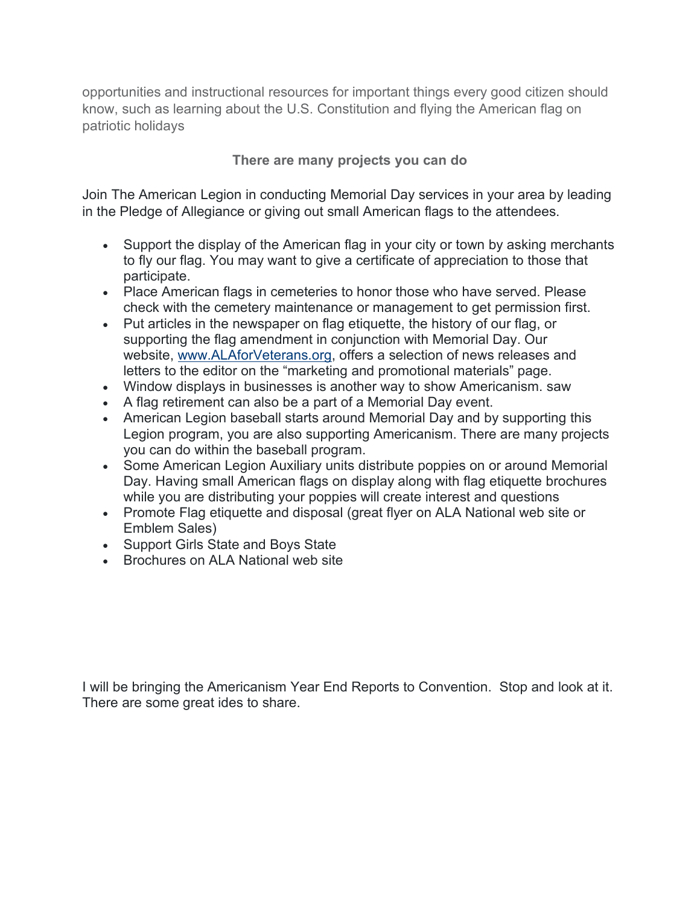opportunities and instructional resources for important things every good citizen should know, such as learning about the U.S. Constitution and flying the American flag on patriotic holidays

**There are many projects you can do**

Join The American Legion in conducting Memorial Day services in your area by leading in the Pledge of Allegiance or giving out small American flags to the attendees.

- Support the display of the American flag in your city or town by asking merchants to fly our flag. You may want to give a certificate of appreciation to those that participate.
- Place American flags in cemeteries to honor those who have served. Please check with the cemetery maintenance or management to get permission first.
- Put articles in the newspaper on flag etiquette, the history of our flag, or supporting the flag amendment in conjunction with Memorial Day. Our website, [www.ALAforVeterans.org,](http://www.alaforveterans.org/) offers a selection of news releases and letters to the editor on the "marketing and promotional materials" page.
- Window displays in businesses is another way to show Americanism. saw
- A flag retirement can also be a part of a Memorial Day event.
- American Legion baseball starts around Memorial Day and by supporting this Legion program, you are also supporting Americanism. There are many projects you can do within the baseball program.
- Some American Legion Auxiliary units distribute poppies on or around Memorial Day. Having small American flags on display along with flag etiquette brochures while you are distributing your poppies will create interest and questions
- Promote Flag etiquette and disposal (great flyer on ALA National web site or Emblem Sales)
- Support Girls State and Boys State
- Brochures on ALA National web site

I will be bringing the Americanism Year End Reports to Convention. Stop and look at it. There are some great ides to share.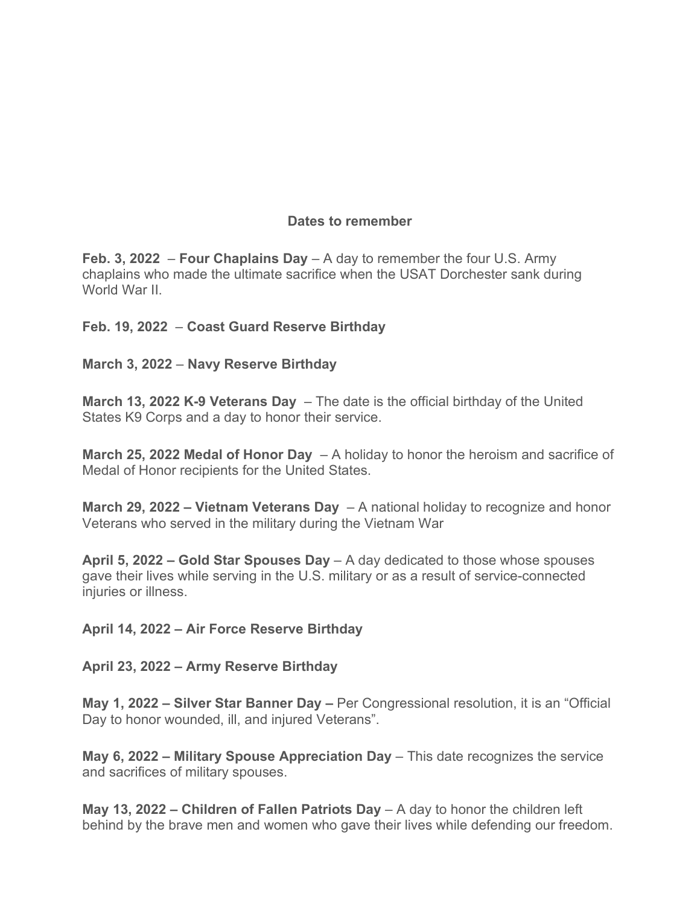## **Dates to remember**

**Feb. 3, 2022** – **Four Chaplains Day** – A day to remember the four U.S. Army chaplains who made the ultimate sacrifice when the USAT Dorchester sank during World War II.

**Feb. 19, 2022** – **Coast Guard Reserve Birthday**

**March 3, 2022** – **Navy Reserve Birthday**

**March 13, 2022 K-9 Veterans Day** – The date is the official birthday of the United States K9 Corps and a day to honor their service.

**March 25, 2022 Medal of Honor Day** – A holiday to honor the heroism and sacrifice of Medal of Honor recipients for the United States.

**March 29, 2022 – Vietnam Veterans Day** – A national holiday to recognize and honor Veterans who served in the military during the Vietnam War

**April 5, 2022 – Gold Star Spouses Day** – A day dedicated to those whose spouses gave their lives while serving in the U.S. military or as a result of service-connected injuries or illness.

**April 14, 2022 – Air Force Reserve Birthday**

**April 23, 2022 – Army Reserve Birthday**

**May 1, 2022 – Silver Star Banner Day –** Per Congressional resolution, it is an "Official Day to honor wounded, ill, and injured Veterans".

**May 6, 2022 – Military Spouse Appreciation Day** – This date recognizes the service and sacrifices of military spouses.

**May 13, 2022 – Children of Fallen Patriots Day** – A day to honor the children left behind by the brave men and women who gave their lives while defending our freedom.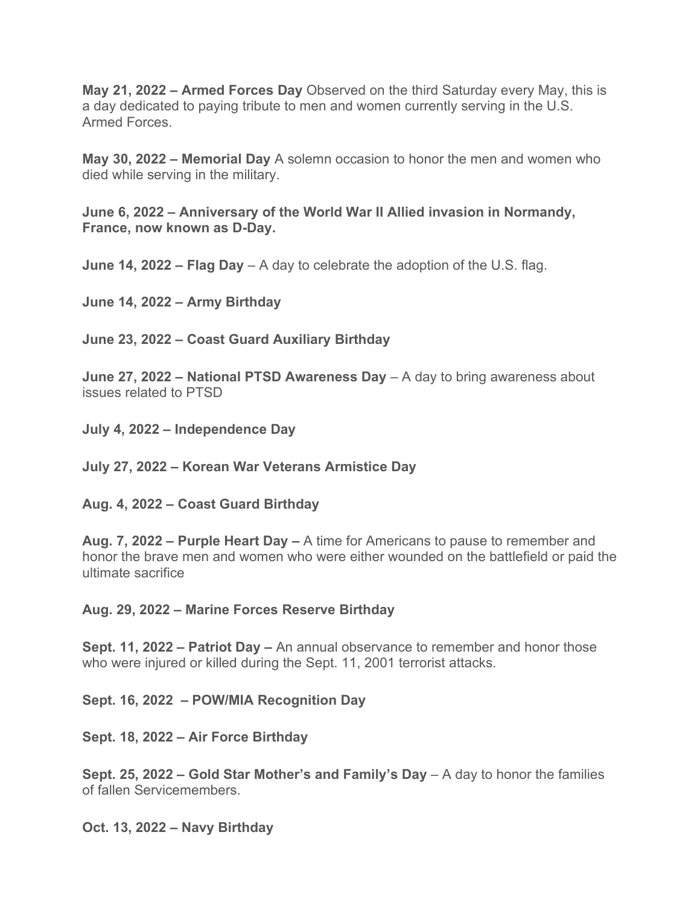**May 21, 2022 – Armed Forces Day** Observed on the third Saturday every May, this is a day dedicated to paying tribute to men and women currently serving in the U.S. Armed Forces.

**May 30, 2022 – Memorial Day** A solemn occasion to honor the men and women who died while serving in the military.

**June 6, 2022 – Anniversary of the World War II Allied invasion in Normandy, France, now known as D-Day.**

**June 14, 2022 – Flag Day** – A day to celebrate the adoption of the U.S. flag.

**June 14, 2022 – Army Birthday**

**June 23, 2022 – Coast Guard Auxiliary Birthday**

**June 27, 2022 – National PTSD Awareness Day** – A day to bring awareness about issues related to PTSD

**July 4, 2022 – Independence Day**

**July 27, 2022 – Korean War Veterans Armistice Day**

**Aug. 4, 2022 – Coast Guard Birthday**

**Aug. 7, 2022 – Purple Heart Day –** A time for Americans to pause to remember and honor the brave men and women who were either wounded on the battlefield or paid the ultimate sacrifice

**Aug. 29, 2022 – Marine Forces Reserve Birthday**

**Sept. 11, 2022 – Patriot Day –** An annual observance to remember and honor those who were injured or killed during the Sept. 11, 2001 terrorist attacks.

**Sept. 16, 2022 – POW/MIA Recognition Day**

**Sept. 18, 2022 – Air Force Birthday**

**Sept. 25, 2022 – Gold Star Mother's and Family's Day** – A day to honor the families of fallen Servicemembers.

**Oct. 13, 2022 – Navy Birthday**